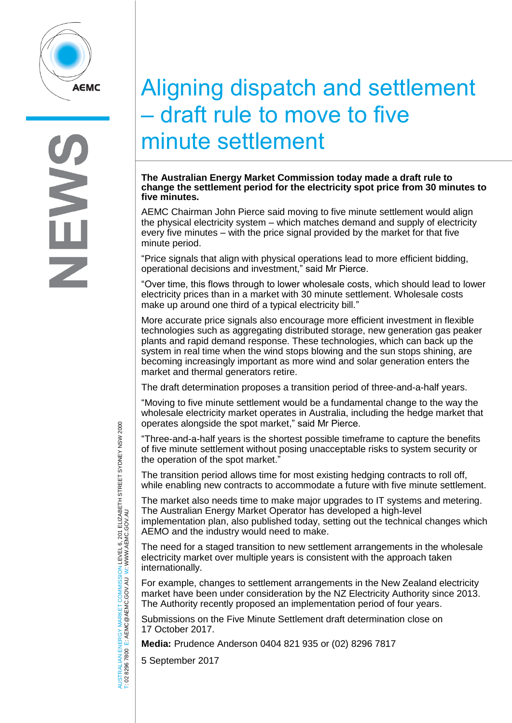

## Aligning dispatch and settlement – draft rule to move to five minute settlement

## **The Australian Energy Market Commission today made a draft rule to**  change the settlement period for the electricity spot price from 30 minutes to **five minutes.**<br>five minutes.<br>Arial 27 point regular regular and a point regular regular regular regular regular regular regular regular reg **five minutes.**

AEMC Chairman John Pierce said moving to five minute settlement would align the physical electricity system – which matches demand and supply of electricity every five minutes – with the price signal provided by the market for that five minute period.

"Price signals that align with physical operations lead to more efficient bidding, operational decisions and investment," said Mr Pierce.

"Over time, this flows through to lower wholesale costs, which should lead to lower electricity prices than in a market with 30 minute settlement. Wholesale costs make up around one third of a typical electricity bill."

More accurate price signals also encourage more efficient investment in flexible technologies such as aggregating distributed storage, new generation gas peaker plants and rapid demand response. These technologies, which can back up the system in real time when the wind stops blowing and the sun stops shining, are becoming increasingly important as more wind and solar generation enters the market and thermal generators retire.

The draft determination proposes a transition period of three-and-a-half years.

"Moving to five minute settlement would be a fundamental change to the way the wholesale electricity market operates in Australia, including the hedge market that operates alongside the spot market," said Mr Pierce.

"Three-and-a-half years is the shortest possible timeframe to capture the benefits of five minute settlement without posing unacceptable risks to system security or the operation of the spot market."

The transition period allows time for most existing hedging contracts to roll off, while enabling new contracts to accommodate a future with five minute settlement.

The market also needs time to make major upgrades to IT systems and metering. The Australian Energy Market Operator has developed a high-level implementation plan, also published today, setting out the technical changes which

AEMO and the industry would need to make.

The need for a staged transition to new settlement arrangements in the wholesale electricity market over multiple years is consistent with the approach taken internationally.

For example, changes to settlement arrangements in the New Zealand electricity market have been under consideration by the NZ Electricity Authority since 2013. The Authority recently proposed an implementation period of four years.

Submissions on the Five Minute Settlement draft determination close on 17 October 2017.

**Media:** Prudence Anderson 0404 821 935 or (02) 8296 7817

5 September 2017

AUSTRALIAN ENERGY MARKET COMMISSION LEVEL 6, 201 ELIZABETH STREET SYDNEY NSW 2000 TRALIAN ENERGY MARKET COMMISSION LEVEL 6, 201 ELIZABETH STREET SYDNEY NSW 2000<br>8296 7800 E: AEMC@AEMC.GOV.AU W: WWW.AEMC.GOV.AU W: WWW.AEMC.GOV.AU T: 02 8296 7800 E: AEMC@AEMC.GOV.AU AUSTI<br>T:02 8